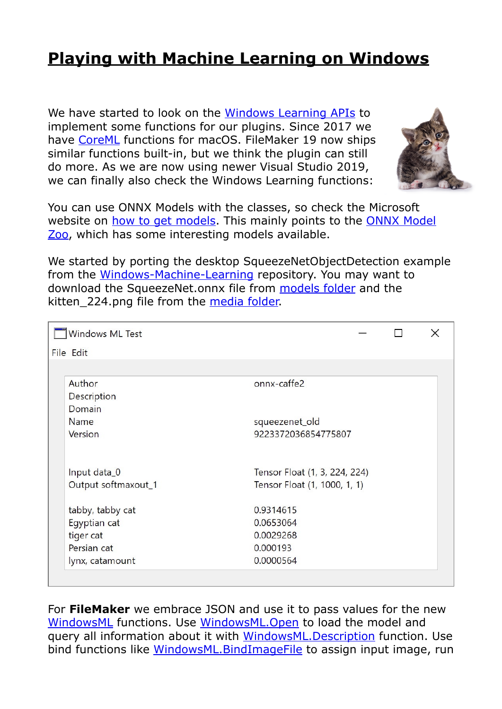## **[Playing with Machine Learning on Windows](https://www.mbs-plugins.com/archive/2020-09-28/Playing_with_Machine_Learning_/monkeybreadsoftware_blog_filemaker)**

We have started to look on the [Windows Learning APIs](https://docs.microsoft.com/en-us/windows/ai/windows-ml/) to implement some functions for our plugins. Since 2017 we have [CoreML](https://www.mbsplugins.eu/component_CoreML.shtml) functions for macOS. FileMaker 19 now ships similar functions built-in, but we think the plugin can still do more. As we are now using newer Visual Studio 2019, we can finally also check the Windows Learning functions:



You can use ONNX Models with the classes, so check the Microsoft website on [how to get models.](https://docs.microsoft.com/en-us/windows/ai/windows-ml/get-onnx-model) This mainly points to the [ONNX Model](https://github.com/onnx/models)  [Zoo](https://github.com/onnx/models), which has some interesting models available.

We started by porting the desktop SqueezeNetObjectDetection example from the [Windows-Machine-Learning](https://github.com/microsoft/Windows-Machine-Learning) repository. You may want to download the SqueezeNet.onnx file from [models folder](https://github.com/microsoft/Windows-Machine-Learning/tree/master/SharedContent/models) and the kitten 224.png file from the [media folder.](https://github.com/microsoft/Windows-Machine-Learning/tree/master/SharedContent/media)

| Windows ML Test     |                               | $\times$ |
|---------------------|-------------------------------|----------|
| File Edit           |                               |          |
|                     |                               |          |
| Author              | onnx-caffe2                   |          |
| Description         |                               |          |
| Domain              |                               |          |
| Name                | squeezenet_old                |          |
| Version             | 9223372036854775807           |          |
|                     |                               |          |
| Input data_0        | Tensor Float (1, 3, 224, 224) |          |
| Output softmaxout_1 | Tensor Float (1, 1000, 1, 1)  |          |
| tabby, tabby cat    | 0.9314615                     |          |
| Egyptian cat        | 0.0653064                     |          |
| tiger cat           | 0.0029268                     |          |
| Persian cat         | 0.000193                      |          |
| lynx, catamount     | 0.0000564                     |          |

For **FileMaker** we embrace JSON and use it to pass values for the new [WindowsML](https://www.mbsplugins.eu/component_WindowsML.shtml) functions. Use [WindowsML.Open](https://www.mbsplugins.eu/WindowsMLOpen.shtml) to load the model and query all information about it with [WindowsML.Description](https://www.mbsplugins.eu/WindowsMLDescription.shtml) function. Use bind functions like [WindowsML.BindImageFile](https://www.mbsplugins.eu/WindowsMLBindImageFile.shtml) to assign input image, run